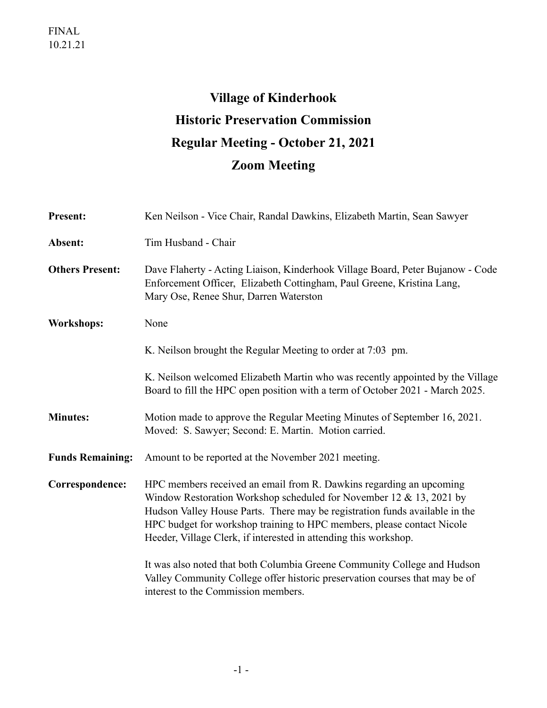# **Village of Kinderhook Historic Preservation Commission Regular Meeting - October 21, 2021 Zoom Meeting**

| <b>Present:</b>         | Ken Neilson - Vice Chair, Randal Dawkins, Elizabeth Martin, Sean Sawyer                                                                                                                                                                                                                                                                                                                                                                                                                                                                                                   |
|-------------------------|---------------------------------------------------------------------------------------------------------------------------------------------------------------------------------------------------------------------------------------------------------------------------------------------------------------------------------------------------------------------------------------------------------------------------------------------------------------------------------------------------------------------------------------------------------------------------|
| Absent:                 | Tim Husband - Chair                                                                                                                                                                                                                                                                                                                                                                                                                                                                                                                                                       |
| <b>Others Present:</b>  | Dave Flaherty - Acting Liaison, Kinderhook Village Board, Peter Bujanow - Code<br>Enforcement Officer, Elizabeth Cottingham, Paul Greene, Kristina Lang,<br>Mary Ose, Renee Shur, Darren Waterston                                                                                                                                                                                                                                                                                                                                                                        |
| <b>Workshops:</b>       | None                                                                                                                                                                                                                                                                                                                                                                                                                                                                                                                                                                      |
|                         | K. Neilson brought the Regular Meeting to order at 7:03 pm.                                                                                                                                                                                                                                                                                                                                                                                                                                                                                                               |
|                         | K. Neilson welcomed Elizabeth Martin who was recently appointed by the Village<br>Board to fill the HPC open position with a term of October 2021 - March 2025.                                                                                                                                                                                                                                                                                                                                                                                                           |
| <b>Minutes:</b>         | Motion made to approve the Regular Meeting Minutes of September 16, 2021.<br>Moved: S. Sawyer; Second: E. Martin. Motion carried.                                                                                                                                                                                                                                                                                                                                                                                                                                         |
| <b>Funds Remaining:</b> | Amount to be reported at the November 2021 meeting.                                                                                                                                                                                                                                                                                                                                                                                                                                                                                                                       |
| Correspondence:         | HPC members received an email from R. Dawkins regarding an upcoming<br>Window Restoration Workshop scheduled for November 12 & 13, 2021 by<br>Hudson Valley House Parts. There may be registration funds available in the<br>HPC budget for workshop training to HPC members, please contact Nicole<br>Heeder, Village Clerk, if interested in attending this workshop.<br>It was also noted that both Columbia Greene Community College and Hudson<br>Valley Community College offer historic preservation courses that may be of<br>interest to the Commission members. |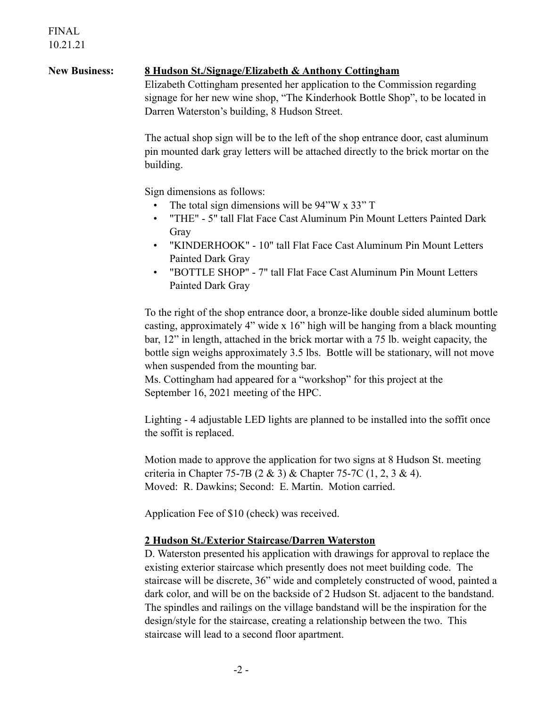## **New Business: 8 Hudson St./Signage/Elizabeth & Anthony Cottingham**

Elizabeth Cottingham presented her application to the Commission regarding signage for her new wine shop, "The Kinderhook Bottle Shop", to be located in Darren Waterston's building, 8 Hudson Street.

The actual shop sign will be to the left of the shop entrance door, cast aluminum pin mounted dark gray letters will be attached directly to the brick mortar on the building.

Sign dimensions as follows:

- The total sign dimensions will be 94"W x 33" T
- "THE" 5" tall Flat Face Cast Aluminum Pin Mount Letters Painted Dark Gray
- "KINDERHOOK" 10" tall Flat Face Cast Aluminum Pin Mount Letters Painted Dark Gray
- "BOTTLE SHOP" 7" tall Flat Face Cast Aluminum Pin Mount Letters Painted Dark Gray

To the right of the shop entrance door, a bronze-like double sided aluminum bottle casting, approximately 4" wide x 16" high will be hanging from a black mounting bar, 12" in length, attached in the brick mortar with a 75 lb. weight capacity, the bottle sign weighs approximately 3.5 lbs. Bottle will be stationary, will not move when suspended from the mounting bar.

Ms. Cottingham had appeared for a "workshop" for this project at the September 16, 2021 meeting of the HPC.

Lighting - 4 adjustable LED lights are planned to be installed into the soffit once the soffit is replaced.

Motion made to approve the application for two signs at 8 Hudson St. meeting criteria in Chapter 75-7B (2 & 3) & Chapter 75-7C (1, 2, 3 & 4). Moved: R. Dawkins; Second: E. Martin. Motion carried.

Application Fee of \$10 (check) was received.

### **2 Hudson St./Exterior Staircase/Darren Waterston**

D. Waterston presented his application with drawings for approval to replace the existing exterior staircase which presently does not meet building code. The staircase will be discrete, 36" wide and completely constructed of wood, painted a dark color, and will be on the backside of 2 Hudson St. adjacent to the bandstand. The spindles and railings on the village bandstand will be the inspiration for the design/style for the staircase, creating a relationship between the two. This staircase will lead to a second floor apartment.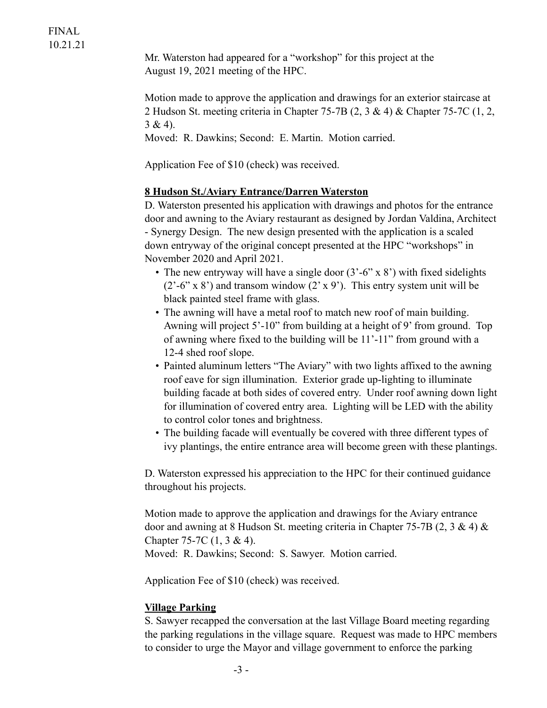Mr. Waterston had appeared for a "workshop" for this project at the August 19, 2021 meeting of the HPC.

Motion made to approve the application and drawings for an exterior staircase at 2 Hudson St. meeting criteria in Chapter 75-7B (2, 3 & 4) & Chapter 75-7C (1, 2,  $3 & 4$ ).

Moved: R. Dawkins; Second: E. Martin. Motion carried.

Application Fee of \$10 (check) was received.

#### **8 Hudson St./Aviary Entrance/Darren Waterston**

D. Waterston presented his application with drawings and photos for the entrance door and awning to the Aviary restaurant as designed by Jordan Valdina, Architect - Synergy Design. The new design presented with the application is a scaled down entryway of the original concept presented at the HPC "workshops" in November 2020 and April 2021.

- The new entryway will have a single door  $(3'-6' \times 8')$  with fixed sidelights  $(2^{\degree}-6^{\degree} \times 8^{\degree})$  and transom window  $(2^{\degree} \times 9^{\degree})$ . This entry system unit will be black painted steel frame with glass.
- The awning will have a metal roof to match new roof of main building. Awning will project 5'-10" from building at a height of 9' from ground. Top of awning where fixed to the building will be 11'-11" from ground with a 12-4 shed roof slope.
- Painted aluminum letters "The Aviary" with two lights affixed to the awning roof eave for sign illumination. Exterior grade up-lighting to illuminate building facade at both sides of covered entry. Under roof awning down light for illumination of covered entry area. Lighting will be LED with the ability to control color tones and brightness.
- The building facade will eventually be covered with three different types of ivy plantings, the entire entrance area will become green with these plantings.

D. Waterston expressed his appreciation to the HPC for their continued guidance throughout his projects.

Motion made to approve the application and drawings for the Aviary entrance door and awning at 8 Hudson St. meeting criteria in Chapter 75-7B (2, 3 & 4)  $\&$ Chapter 75-7C (1, 3 & 4).

Moved: R. Dawkins; Second: S. Sawyer. Motion carried.

Application Fee of \$10 (check) was received.

#### **Village Parking**

S. Sawyer recapped the conversation at the last Village Board meeting regarding the parking regulations in the village square. Request was made to HPC members to consider to urge the Mayor and village government to enforce the parking